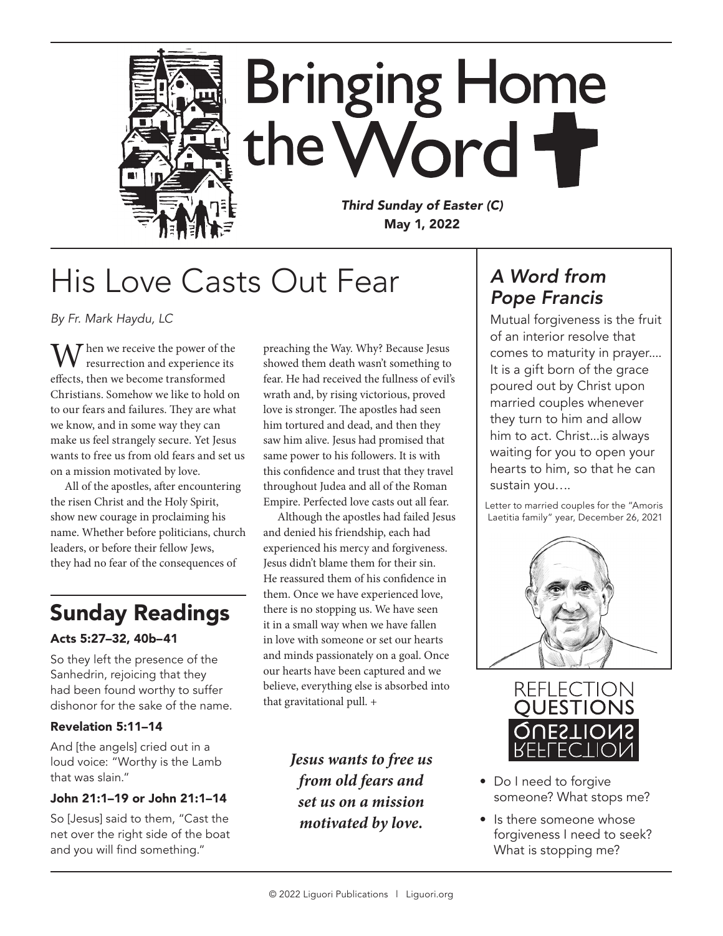

## His Love Casts Out Fear

*By Fr. Mark Haydu, LC*

W hen we receive the power of the resurrection and experience its effects, then we become transformed Christians. Somehow we like to hold on to our fears and failures. They are what we know, and in some way they can make us feel strangely secure. Yet Jesus wants to free us from old fears and set us on a mission motivated by love.

All of the apostles, after encountering the risen Christ and the Holy Spirit, show new courage in proclaiming his name. Whether before politicians, church leaders, or before their fellow Jews, they had no fear of the consequences of

### Sunday Readings

#### Acts 5:27–32, 40b–41

So they left the presence of the Sanhedrin, rejoicing that they had been found worthy to suffer dishonor for the sake of the name.

#### Revelation 5:11–14

And [the angels] cried out in a loud voice: "Worthy is the Lamb that was slain."

#### John 21:1–19 or John 21:1–14

So [Jesus] said to them, "Cast the net over the right side of the boat and you will find something."

preaching the Way. Why? Because Jesus showed them death wasn't something to fear. He had received the fullness of evil's wrath and, by rising victorious, proved love is stronger. The apostles had seen him tortured and dead, and then they saw him alive. Jesus had promised that same power to his followers. It is with this confidence and trust that they travel throughout Judea and all of the Roman Empire. Perfected love casts out all fear.

Although the apostles had failed Jesus and denied his friendship, each had experienced his mercy and forgiveness. Jesus didn't blame them for their sin. He reassured them of his confidence in them. Once we have experienced love, there is no stopping us. We have seen it in a small way when we have fallen in love with someone or set our hearts and minds passionately on a goal. Once our hearts have been captured and we believe, everything else is absorbed into that gravitational pull. +

> *Jesus wants to free us from old fears and set us on a mission motivated by love.*

### *A Word from Pope Francis*

Mutual forgiveness is the fruit of an interior resolve that comes to maturity in prayer.... It is a gift born of the grace poured out by Christ upon married couples whenever they turn to him and allow him to act. Christ...is always waiting for you to open your hearts to him, so that he can sustain you….

Letter to married couples for the "Amoris Laetitia family" year, December 26, 2021





- Do I need to forgive someone? What stops me?
- Is there someone whose forgiveness I need to seek? What is stopping me?